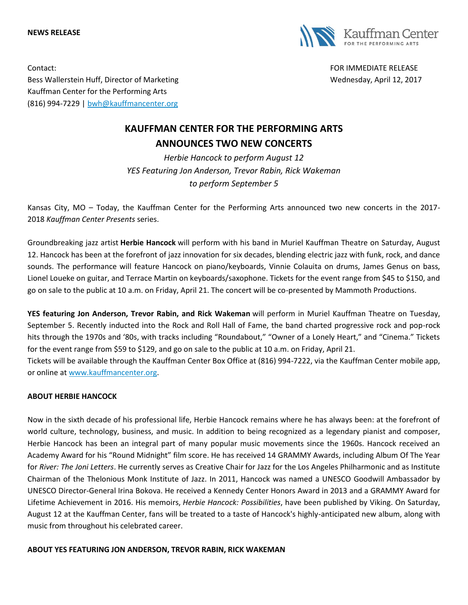**NEWS RELEASE**



Contact: FOR IMMEDIATE RELEASE Bess Wallerstein Huff, Director of Marketing Wednesday, April 12, 2017 Kauffman Center for the Performing Arts (816) 994-7229 | [bwh@kauffmancenter.org](mailto:bwh@kauffmancenter.org)

# **KAUFFMAN CENTER FOR THE PERFORMING ARTS ANNOUNCES TWO NEW CONCERTS**

*Herbie Hancock to perform August 12 YES Featuring Jon Anderson, Trevor Rabin, Rick Wakeman to perform September 5*

Kansas City, MO – Today, the Kauffman Center for the Performing Arts announced two new concerts in the 2017- 2018 *Kauffman Center Presents* series.

Groundbreaking jazz artist **Herbie Hancock** will perform with his band in Muriel Kauffman Theatre on Saturday, August 12. Hancock has been at the forefront of jazz innovation for six decades, blending electric jazz with funk, rock, and dance sounds. The performance will feature Hancock on piano/keyboards, Vinnie Colauita on drums, James Genus on bass, Lionel Loueke on guitar, and Terrace Martin on keyboards/saxophone. Tickets for the event range from \$45 to \$150, and go on sale to the public at 10 a.m. on Friday, April 21. The concert will be co-presented by Mammoth Productions.

**YES featuring Jon Anderson, Trevor Rabin, and Rick Wakeman** will perform in Muriel Kauffman Theatre on Tuesday, September 5. Recently inducted into the Rock and Roll Hall of Fame, the band charted progressive rock and pop-rock hits through the 1970s and '80s, with tracks including "Roundabout," "Owner of a Lonely Heart," and "Cinema." Tickets for the event range from \$59 to \$129, and go on sale to the public at 10 a.m. on Friday, April 21. Tickets will be available through the Kauffman Center Box Office at (816) 994-7222, via the Kauffman Center mobile app,

or online at [www.kauffmancenter.org.](http://www.kauffmancenter.org/)

## **ABOUT HERBIE HANCOCK**

Now in the sixth decade of his professional life, Herbie Hancock remains where he has always been: at the forefront of world culture, technology, business, and music. In addition to being recognized as a legendary pianist and composer, Herbie Hancock has been an integral part of many popular music movements since the 1960s. Hancock received an Academy Award for his "Round Midnight" film score. He has received 14 GRAMMY Awards, including Album Of The Year for *River: The Joni Letters*. He currently serves as Creative Chair for Jazz for the Los Angeles Philharmonic and as Institute Chairman of the Thelonious Monk Institute of Jazz. In 2011, Hancock was named a UNESCO Goodwill Ambassador by UNESCO Director-General Irina Bokova. He received a Kennedy Center Honors Award in 2013 and a GRAMMY Award for Lifetime Achievement in 2016. His memoirs, *Herbie Hancock: Possibilities*, have been published by Viking. On Saturday, August 12 at the Kauffman Center, fans will be treated to a taste of Hancock's highly-anticipated new album, along with music from throughout his celebrated career.

### **ABOUT YES FEATURING JON ANDERSON, TREVOR RABIN, RICK WAKEMAN**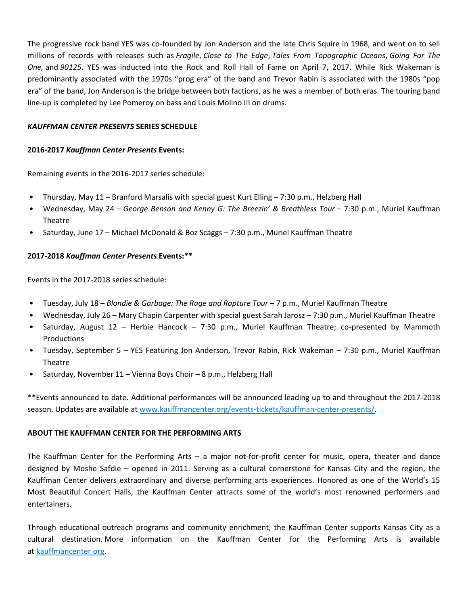The progressive rock band YES was co-founded by Jon Anderson and the late Chris Squire in 1968, and went on to sell millions of records with releases such as *Fragile*, *Close to The Edge*, *Tales From Topographic Oceans*, *Going For The One,* and *90125*. YES was inducted into the Rock and Roll Hall of Fame on April 7, 2017. While Rick Wakeman is predominantly associated with the 1970s "prog era" of the band and Trevor Rabin is associated with the 1980s "pop era" of the band, Jon Anderson is the bridge between both factions, as he was a member of both eras. The touring band line-up is completed by Lee Pomeroy on bass and Louis Molino III on drums.

### *KAUFFMAN CENTER PRESENTS* **SERIES SCHEDULE**

#### **2016-2017** *Kauffman Center Presents* **Events:**

Remaining events in the 2016-2017 series schedule:

- Thursday, May 11 Branford Marsalis with special guest Kurt Elling 7:30 p.m., Helzberg Hall
- Wednesday, May 24 *George Benson and Kenny G: The Breezin' & Breathless Tour* 7:30 p.m., Muriel Kauffman Theatre
- Saturday, June 17 Michael McDonald & Boz Scaggs 7:30 p.m., Muriel Kauffman Theatre

### **2017-2018** *Kauffman Center Presents* **Events:\*\***

Events in the 2017-2018 series schedule:

- Tuesday, July 18 *Blondie & Garbage: The Rage and Rapture Tour* 7 p.m., Muriel Kauffman Theatre
- Wednesday, July 26 Mary Chapin Carpenter with special guest Sarah Jarosz 7:30 p.m., Muriel Kauffman Theatre
- Saturday, August 12 Herbie Hancock 7:30 p.m., Muriel Kauffman Theatre; co-presented by Mammoth Productions
- Tuesday, September 5 YES Featuring Jon Anderson, Trevor Rabin, Rick Wakeman 7:30 p.m., Muriel Kauffman Theatre
- Saturday, November 11 Vienna Boys Choir 8 p.m., Helzberg Hall

\*\*Events announced to date. Additional performances will be announced leading up to and throughout the 2017-2018 season. Updates are available at [www.kauffmancenter.org/events-tickets/kauffman-center-presents/.](http://www.kauffmancenter.org/events-tickets/kauffman-center-presents/)

### **ABOUT THE KAUFFMAN CENTER FOR THE PERFORMING ARTS**

The Kauffman Center for the Performing Arts – a major not-for-profit center for music, opera, theater and dance designed by Moshe Safdie – opened in 2011. Serving as a cultural cornerstone for Kansas City and the region, the Kauffman Center delivers extraordinary and diverse performing arts experiences. Honored as one of the World's 15 Most Beautiful Concert Halls, the Kauffman Center attracts some of the world's most renowned performers and entertainers.

Through educational outreach programs and community enrichment, the Kauffman Center supports Kansas City as a cultural destination. More information on the Kauffman Center for the Performing Arts is available at [kauffmancenter.org.](https://backstage.kauffmancenter.org/Marketing/Press%20Releases%20and%20Calendar%20Alerts/2017-2018%20Press%20Releases/17-18%20Press%20Releases%20-%20Other/kauffmancenter.org)